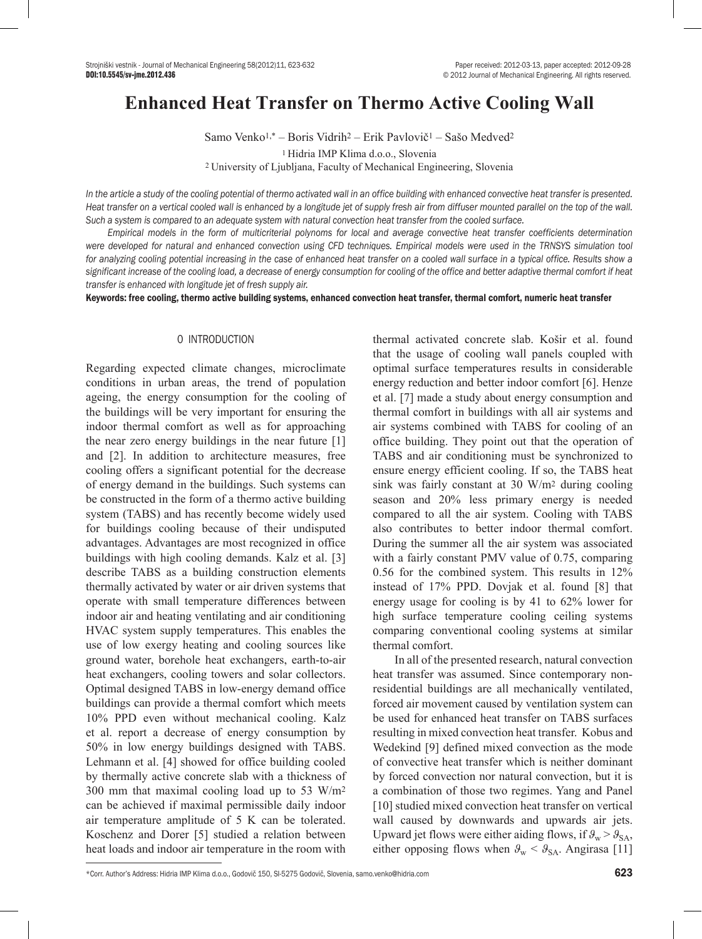# **Enhanced Heat Transfer on Thermo Active Cooling Wall**

Samo Venko1,\* – Boris Vidrih2 – Erik Pavlovič1 – Sašo Medved2 1 Hidria IMP Klima d.o.o., Slovenia <sup>2</sup>University of Ljubljana, Faculty of Mechanical Engineering, Slovenia

*In the article a study of the cooling potential of thermo activated wall in an office building with enhanced convective heat transfer is presented.*  Heat transfer on a vertical cooled wall is enhanced by a longitude jet of supply fresh air from diffuser mounted parallel on the top of the wall. *Such a system is compared to an adequate system with natural convection heat transfer from the cooled surface.* 

*Empirical models in the form of multicriterial polynoms for local and average convective heat transfer coefficients determination were developed for natural and enhanced convection using CFD techniques. Empirical models were used in the TRNSYS simulation tool*  for analyzing cooling potential increasing in the case of enhanced heat transfer on a cooled wall surface in a typical office. Results show a *significant increase of the cooling load, a decrease of energy consumption for cooling of the office and better adaptive thermal comfort if heat transfer is enhanced with longitude jet of fresh supply air.* 

Keywords: free cooling, thermo active building systems, enhanced convection heat transfer, thermal comfort, numeric heat transfer

#### 0 INTRODUCTION

Regarding expected climate changes, microclimate conditions in urban areas, the trend of population ageing, the energy consumption for the cooling of the buildings will be very important for ensuring the indoor thermal comfort as well as for approaching the near zero energy buildings in the near future [1] and [2]. In addition to architecture measures, free cooling offers a significant potential for the decrease of energy demand in the buildings. Such systems can be constructed in the form of a thermo active building system (TABS) and has recently become widely used for buildings cooling because of their undisputed advantages. Advantages are most recognized in office buildings with high cooling demands. Kalz et al. [3] describe TABS as a building construction elements thermally activated by water or air driven systems that operate with small temperature differences between indoor air and heating ventilating and air conditioning HVAC system supply temperatures. This enables the use of low exergy heating and cooling sources like ground water, borehole heat exchangers, earth-to-air heat exchangers, cooling towers and solar collectors. Optimal designed TABS in low-energy demand office buildings can provide a thermal comfort which meets 10% PPD even without mechanical cooling. Kalz et al. report a decrease of energy consumption by 50% in low energy buildings designed with TABS. Lehmann et al. [4] showed for office building cooled by thermally active concrete slab with a thickness of 300 mm that maximal cooling load up to 53 W/m2 can be achieved if maximal permissible daily indoor air temperature amplitude of 5 K can be tolerated. Koschenz and Dorer [5] studied a relation between heat loads and indoor air temperature in the room with

thermal activated concrete slab. Košir et al. found that the usage of cooling wall panels coupled with optimal surface temperatures results in considerable energy reduction and better indoor comfort [6]. Henze et al. [7] made a study about energy consumption and thermal comfort in buildings with all air systems and air systems combined with TABS for cooling of an office building. They point out that the operation of TABS and air conditioning must be synchronized to ensure energy efficient cooling. If so, the TABS heat sink was fairly constant at 30 W/m2 during cooling season and 20% less primary energy is needed compared to all the air system. Cooling with TABS also contributes to better indoor thermal comfort. During the summer all the air system was associated with a fairly constant PMV value of 0.75, comparing 0.56 for the combined system. This results in 12% instead of 17% PPD. Dovjak et al. found [8] that energy usage for cooling is by 41 to 62% lower for high surface temperature cooling ceiling systems comparing conventional cooling systems at similar thermal comfort.

In all of the presented research, natural convection heat transfer was assumed. Since contemporary nonresidential buildings are all mechanically ventilated, forced air movement caused by ventilation system can be used for enhanced heat transfer on TABS surfaces resulting in mixed convection heat transfer. Kobus and Wedekind [9] defined mixed convection as the mode of convective heat transfer which is neither dominant by forced convection nor natural convection, but it is a combination of those two regimes. Yang and Panel [10] studied mixed convection heat transfer on vertical wall caused by downwards and upwards air jets. Upward jet flows were either aiding flows, if  $\theta_{w} > \theta_{SA}$ , either opposing flows when  $\theta_{\rm w} < \theta_{\rm SA}$ . Angirasa [11]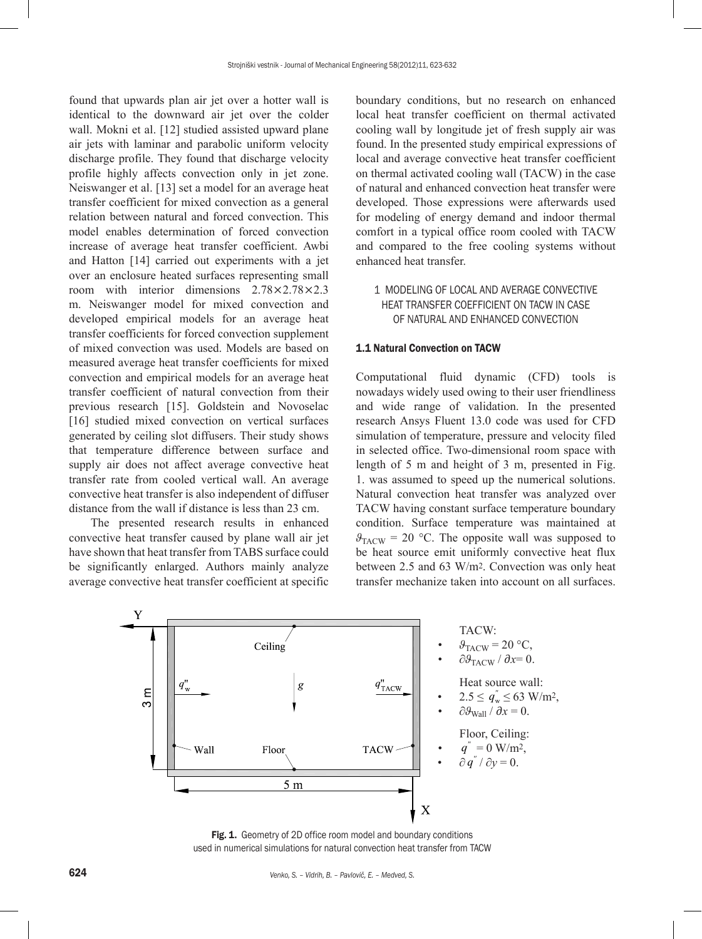found that upwards plan air jet over a hotter wall is identical to the downward air jet over the colder wall. Mokni et al. [12] studied assisted upward plane air jets with laminar and parabolic uniform velocity discharge profile. They found that discharge velocity profile highly affects convection only in jet zone. Neiswanger et al. [13] set a model for an average heat transfer coefficient for mixed convection as a general relation between natural and forced convection. This model enables determination of forced convection increase of average heat transfer coefficient. Awbi and Hatton [14] carried out experiments with a jet over an enclosure heated surfaces representing small room with interior dimensions 2.78×2.78×2.3 m. Neiswanger model for mixed convection and developed empirical models for an average heat transfer coefficients for forced convection supplement of mixed convection was used. Models are based on measured average heat transfer coefficients for mixed convection and empirical models for an average heat transfer coefficient of natural convection from their previous research [15]. Goldstein and Novoselac [16] studied mixed convection on vertical surfaces generated by ceiling slot diffusers. Their study shows that temperature difference between surface and supply air does not affect average convective heat transfer rate from cooled vertical wall. An average convective heat transfer is also independent of diffuser distance from the wall if distance is less than 23 cm.

The presented research results in enhanced convective heat transfer caused by plane wall air jet have shown that heat transfer from TABS surface could be significantly enlarged. Authors mainly analyze average convective heat transfer coefficient at specific boundary conditions, but no research on enhanced local heat transfer coefficient on thermal activated cooling wall by longitude jet of fresh supply air was found. In the presented study empirical expressions of local and average convective heat transfer coefficient on thermal activated cooling wall (TACW) in the case of natural and enhanced convection heat transfer were developed. Those expressions were afterwards used for modeling of energy demand and indoor thermal comfort in a typical office room cooled with TACW and compared to the free cooling systems without enhanced heat transfer.

## 1 MODELING OF LOCAL AND AVERAGE CONVECTIVE HEAT TRANSFER COEFFICIENT ON TACW IN CASE OF NATURAL AND ENHANCED CONVECTION

## 1.1 Natural Convection on TACW

Computational fluid dynamic (CFD) tools is nowadays widely used owing to their user friendliness and wide range of validation. In the presented research Ansys Fluent 13.0 code was used for CFD simulation of temperature, pressure and velocity filed in selected office. Two-dimensional room space with length of 5 m and height of 3 m, presented in Fig. 1. was assumed to speed up the numerical solutions. Natural convection heat transfer was analyzed over TACW having constant surface temperature boundary condition. Surface temperature was maintained at  $\theta_{\text{TACW}}$  = 20 °C. The opposite wall was supposed to be heat source emit uniformly convective heat flux between 2.5 and 63 W/m2. Convection was only heat transfer mechanize taken into account on all surfaces.



Fig. 1. Geometry of 2D office room model and boundary conditions used in numerical simulations for natural convection heat transfer from TACW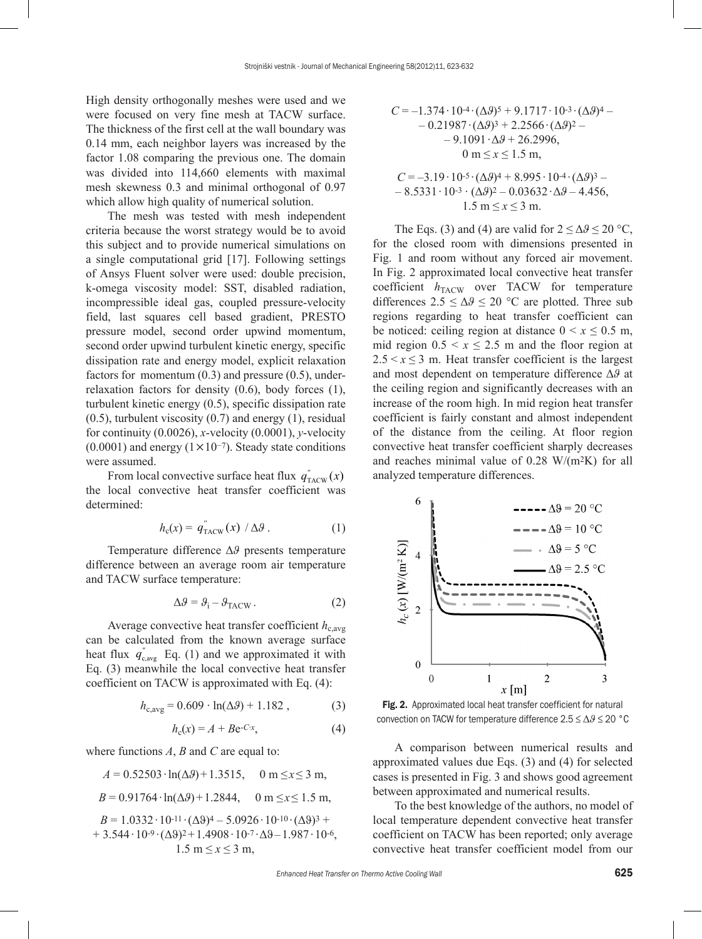High density orthogonally meshes were used and we were focused on very fine mesh at TACW surface. The thickness of the first cell at the wall boundary was 0.14 mm, each neighbor layers was increased by the factor 1.08 comparing the previous one. The domain was divided into 114,660 elements with maximal mesh skewness 0.3 and minimal orthogonal of 0.97 which allow high quality of numerical solution.

The mesh was tested with mesh independent criteria because the worst strategy would be to avoid this subject and to provide numerical simulations on a single computational grid [17]. Following settings of Ansys Fluent solver were used: double precision, k-omega viscosity model: SST, disabled radiation, incompressible ideal gas, coupled pressure-velocity field, last squares cell based gradient, PRESTO pressure model, second order upwind momentum, second order upwind turbulent kinetic energy, specific dissipation rate and energy model, explicit relaxation factors for momentum (0.3) and pressure (0.5), underrelaxation factors for density (0.6), body forces (1), turbulent kinetic energy (0.5), specific dissipation rate  $(0.5)$ , turbulent viscosity  $(0.7)$  and energy  $(1)$ , residual for continuity (0.0026), *x*-velocity (0.0001), *y*-velocity  $(0.0001)$  and energy  $(1 \times 10^{-7})$ . Steady state conditions were assumed.

From local convective surface heat flux  $q''_{\text{TACW}}(x)$ the local convective heat transfer coefficient was determined:

$$
h_{\rm c}(x) = q_{\rm TACW}^{''}(x) / \Delta \vartheta \,. \tag{1}
$$

Temperature difference Δ*ϑ* presents temperature difference between an average room air temperature and TACW surface temperature:

$$
\Delta \theta = \theta_{\rm i} - \theta_{\rm TACW} \,. \tag{2}
$$

Average convective heat transfer coefficient  $h_{\text{c,avg}}$ can be calculated from the known average surface heat flux  $q_{\text{c,avg}}^{\prime}$  Eq. (1) and we approximated it with Eq. (3) meanwhile the local convective heat transfer coefficient on TACW is approximated with Eq. (4):

$$
h_{c,avg} = 0.609 \cdot \ln(\Delta \mathcal{Y}) + 1.182 , \qquad (3)
$$

$$
h_{c}(x) = A + Be^{-Cx}, \qquad (4)
$$

where functions *A*, *B* and *C* are equal to:

$$
A = 0.52503 \cdot \ln(\Delta \theta) + 1.3515, \quad 0 \text{ m} \le x \le 3 \text{ m},
$$

$$
B = 0.91764 \cdot \ln(\Delta \theta) + 1.2844, \quad 0 \text{ m} \le x \le 1.5 \text{ m},
$$

 $B = 1.0332 \cdot 10^{-11} \cdot (\Delta \vartheta)^4 - 5.0926 \cdot 10^{-10} \cdot (\Delta \vartheta)^3 +$ +  $3.544 \cdot 10^{-9} \cdot (\Delta \vartheta)^2$  +  $1.4908 \cdot 10^{-7} \cdot \Delta \vartheta$  –  $1.987 \cdot 10^{-6}$ ,  $1.5 \text{ m} \le x \le 3 \text{ m}$ ,

$$
C = -1.374 \cdot 10^{4} \cdot (\Delta \theta)^{5} + 9.1717 \cdot 10^{3} \cdot (\Delta \theta)^{4} - 0.21987 \cdot (\Delta \theta)^{3} + 2.2566 \cdot (\Delta \theta)^{2} - 9.1091 \cdot \Delta \theta + 26.2996,
$$
  
0 m \le x \le 1.5 m,

$$
C = -3.19 \cdot 10^{-5} \cdot (\Delta 9)^4 + 8.995 \cdot 10^{-4} \cdot (\Delta 9)^3 -
$$
  
- 8.5331 \cdot 10^{-3} \cdot (\Delta 9)^2 - 0.03632 \cdot \Delta 9 - 4.456,  
1.5 m \le x \le 3 m.

The Eqs. (3) and (4) are valid for  $2 \le \Delta \theta \le 20$  °C, for the closed room with dimensions presented in Fig. 1 and room without any forced air movement. In Fig. 2 approximated local convective heat transfer coefficient  $h_{\text{TACW}}$  over TACW for temperature differences  $2.5 \leq \Delta \theta \leq 20$  °C are plotted. Three sub regions regarding to heat transfer coefficient can be noticed: ceiling region at distance  $0 \le x \le 0.5$  m, mid region  $0.5 \le x \le 2.5$  m and the floor region at  $2.5 \le x \le 3$  m. Heat transfer coefficient is the largest and most dependent on temperature difference Δ*ϑ* at the ceiling region and significantly decreases with an increase of the room high. In mid region heat transfer coefficient is fairly constant and almost independent of the distance from the ceiling. At floor region convective heat transfer coefficient sharply decreases and reaches minimal value of 0.28 W/(m2K) for all analyzed temperature differences.



Fig. 2. Approximated local heat transfer coefficient for natural convection on TACW for temperature difference 2.5 ≤ Δ*ϑ* ≤ 20 °C

A comparison between numerical results and approximated values due Eqs. (3) and (4) for selected cases is presented in Fig. 3 and shows good agreement between approximated and numerical results.

To the best knowledge of the authors, no model of local temperature dependent convective heat transfer coefficient on TACW has been reported; only average convective heat transfer coefficient model from our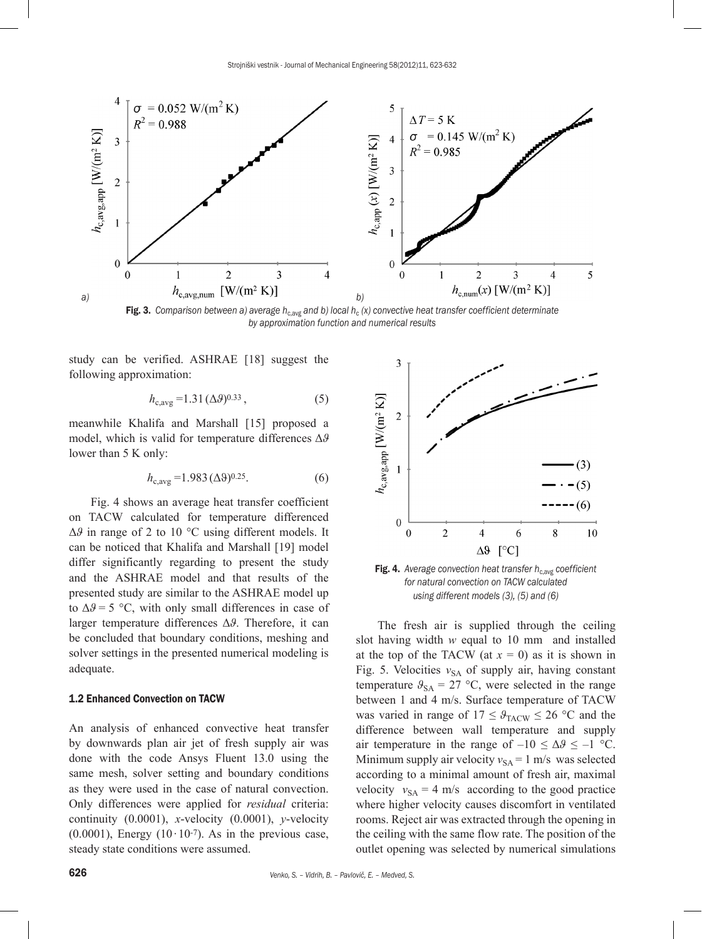

Fig. 3. Comparison between a) average h<sub>c,avg</sub> and b) local h<sub>c</sub> (x) convective heat transfer coefficient determinate *by approximation function and numerical results*

study can be verified. ASHRAE [18] suggest the following approximation:

$$
h_{c,avg} = 1.31 \, (\Delta\vartheta)^{0.33} \,, \tag{5}
$$

meanwhile Khalifa and Marshall [15] proposed a model, which is valid for temperature differences Δ*ϑ* lower than 5 K only:

$$
h_{c,avg} = 1.983 \, (\Delta 9)^{0.25}.\tag{6}
$$

Fig. 4 shows an average heat transfer coefficient on TACW calculated for temperature differenced Δ*ϑ* in range of 2 to 10 °C using different models. It can be noticed that Khalifa and Marshall [19] model differ significantly regarding to present the study and the ASHRAE model and that results of the presented study are similar to the ASHRAE model up to  $\Delta\theta$  = 5 °C, with only small differences in case of larger temperature differences Δ*ϑ*. Therefore, it can be concluded that boundary conditions, meshing and solver settings in the presented numerical modeling is adequate.

## 1.2 Enhanced Convection on TACW

An analysis of enhanced convective heat transfer by downwards plan air jet of fresh supply air was done with the code Ansys Fluent 13.0 using the same mesh, solver setting and boundary conditions as they were used in the case of natural convection. Only differences were applied for *residual* criteria: continuity (0.0001), *x*-velocity (0.0001), *y*-velocity  $(0.0001)$ , Energy  $(10·10-7)$ . As in the previous case, steady state conditions were assumed.



Fig. 4. Average convection heat transfer  $h_{c,avg}$  coefficient *for natural convection on TACW calculated using different models (3), (5) and (6)*

The fresh air is supplied through the ceiling slot having width *w* equal to 10 mm and installed at the top of the TACW (at  $x = 0$ ) as it is shown in Fig. 5. Velocities  $v_{SA}$  of supply air, having constant temperature  $\theta_{SA} = 27 \text{ °C}$ , were selected in the range between 1 and 4 m/s. Surface temperature of TACW was varied in range of  $17 \leq \theta_{\text{TACW}} \leq 26$  °C and the difference between wall temperature and supply air temperature in the range of  $-10 \leq \Delta \theta \leq -1$  °C. Minimum supply air velocity  $v_{SA} = 1$  m/s was selected according to a minimal amount of fresh air, maximal velocity  $v_{SA} = 4$  m/s according to the good practice where higher velocity causes discomfort in ventilated rooms. Reject air was extracted through the opening in the ceiling with the same flow rate. The position of the outlet opening was selected by numerical simulations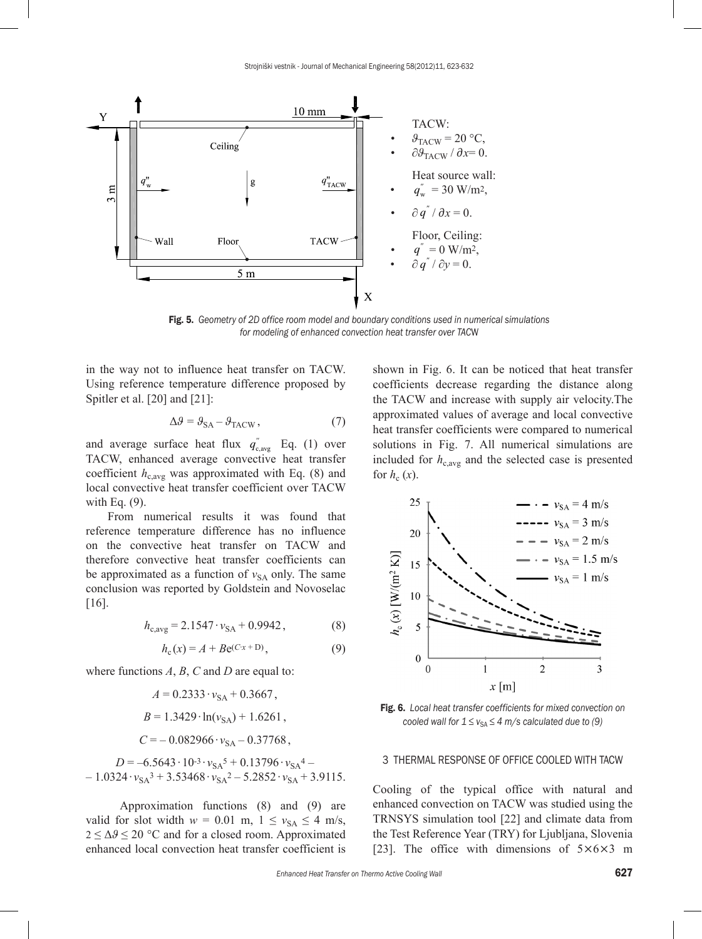

Fig. 5. *Geometry of 2D office room model and boundary conditions used in numerical simulations for modeling of enhanced convection heat transfer over TAC*W

in the way not to influence heat transfer on TACW. Using reference temperature difference proposed by Spitler et al. [20] and [21]:

$$
\Delta \theta = \theta_{SA} - \theta_{TACW},\tag{7}
$$

and average surface heat flux  $q_{\text{c,avg}}^{\prime}$  Eq. (1) over TACW, enhanced average convective heat transfer coefficient  $h_{c,avg}$  was approximated with Eq. (8) and local convective heat transfer coefficient over TACW with Eq.  $(9)$ .

From numerical results it was found that reference temperature difference has no influence on the convective heat transfer on TACW and therefore convective heat transfer coefficients can be approximated as a function of  $v_{SA}$  only. The same conclusion was reported by Goldstein and Novoselac [16].

$$
h_{\rm c,avg} = 2.1547 \cdot v_{\rm SA} + 0.9942, \tag{8}
$$

$$
h_{c}(x) = A + Be^{(Cx + D)},
$$
\n(9)

where functions *A*, *B*, *C* and *D* are equal to:

$$
A = 0.2333 \cdot v_{SA} + 0.3667,
$$
  
\n
$$
B = 1.3429 \cdot \ln(v_{SA}) + 1.6261,
$$
  
\n
$$
C = -0.082966 \cdot v_{SA} - 0.37768,
$$

 $D = -6.5643 \cdot 10^{-3} \cdot v_{SA}^5 + 0.13796 \cdot v_{SA}^4$  $-1.0324 \cdot v_{SA}^3$  + 3.53468  $\cdot v_{SA}^2$  – 5.2852  $\cdot v_{SA}$  + 3.9115.

Approximation functions (8) and (9) are valid for slot width  $w = 0.01$  m,  $1 \le v_{SA} \le 4$  m/s,  $2 \leq \Delta \theta \leq 20$  °C and for a closed room. Approximated enhanced local convection heat transfer coefficient is shown in Fig. 6. It can be noticed that heat transfer coefficients decrease regarding the distance along the TACW and increase with supply air velocity.The approximated values of average and local convective heat transfer coefficients were compared to numerical solutions in Fig. 7. All numerical simulations are included for  $h_{c,avg}$  and the selected case is presented for  $h_c(x)$ .



Fig. 6. *Local heat transfer coefficients for mixed convection on cooled wall for*  $1 \le v_{SA} \le 4$  *m/s calculated due to (9)* 

#### 3 THERMAL RESPONSE OF OFFICE COOLED WITH TACW

Cooling of the typical office with natural and enhanced convection on TACW was studied using the TRNSYS simulation tool [22] and climate data from the Test Reference Year (TRY) for Ljubljana, Slovenia [23]. The office with dimensions of  $5\times6\times3$  m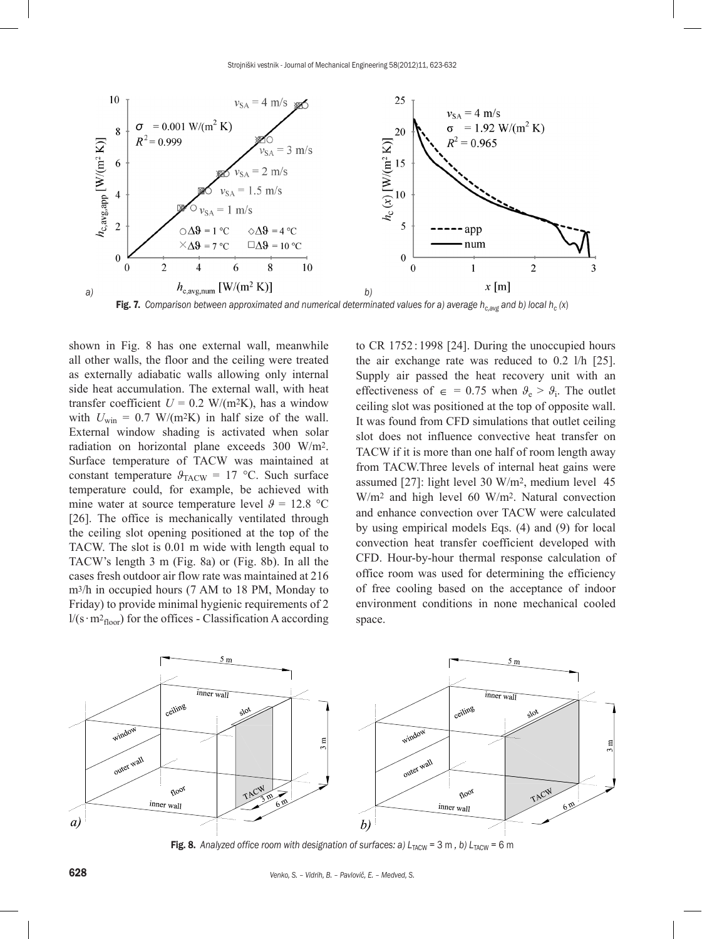

Fig. 7. Comparison between approximated and numerical determinated values for a) average  $h_{c,avg}$  and b) local  $h_c(x)$ 

shown in Fig. 8 has one external wall, meanwhile all other walls, the floor and the ceiling were treated as externally adiabatic walls allowing only internal side heat accumulation. The external wall, with heat transfer coefficient  $U = 0.2$  W/(m<sup>2</sup>K), has a window with  $U_{\text{win}} = 0.7$  W/(m<sup>2</sup>K) in half size of the wall. External window shading is activated when solar radiation on horizontal plane exceeds 300 W/m2. Surface temperature of TACW was maintained at constant temperature  $\theta_{\text{TACW}} = 17 \text{ °C}$ . Such surface temperature could, for example, be achieved with mine water at source temperature level  $\theta = 12.8$  °C [26]. The office is mechanically ventilated through the ceiling slot opening positioned at the top of the TACW. The slot is 0.01 m wide with length equal to TACW's length 3 m (Fig. 8a) or (Fig. 8b). In all the cases fresh outdoor air flow rate was maintained at 216 m3/h in occupied hours (7 AM to 18 PM, Monday to Friday) to provide minimal hygienic requirements of 2 l/(s⋅m<sup>2</sup><sub>floor</sub>) for the offices - Classification A according to CR 1752 : 1998 [24]. During the unoccupied hours the air exchange rate was reduced to 0.2 l/h [25]. Supply air passed the heat recovery unit with an effectiveness of  $\epsilon = 0.75$  when  $\theta_e > \theta_i$ . The outlet ceiling slot was positioned at the top of opposite wall. It was found from CFD simulations that outlet ceiling slot does not influence convective heat transfer on TACW if it is more than one half of room length away from TACW.Three levels of internal heat gains were assumed [27]: light level 30 W/m2, medium level 45 W/m2 and high level 60 W/m2. Natural convection and enhance convection over TACW were calculated by using empirical models Eqs. (4) and (9) for local convection heat transfer coefficient developed with CFD. Hour-by-hour thermal response calculation of office room was used for determining the efficiency of free cooling based on the acceptance of indoor environment conditions in none mechanical cooled space.



Fig. 8. Analyzed office room with designation of surfaces: a) L<sub>TACW</sub> = 3 m, b) L<sub>TACW</sub> = 6 m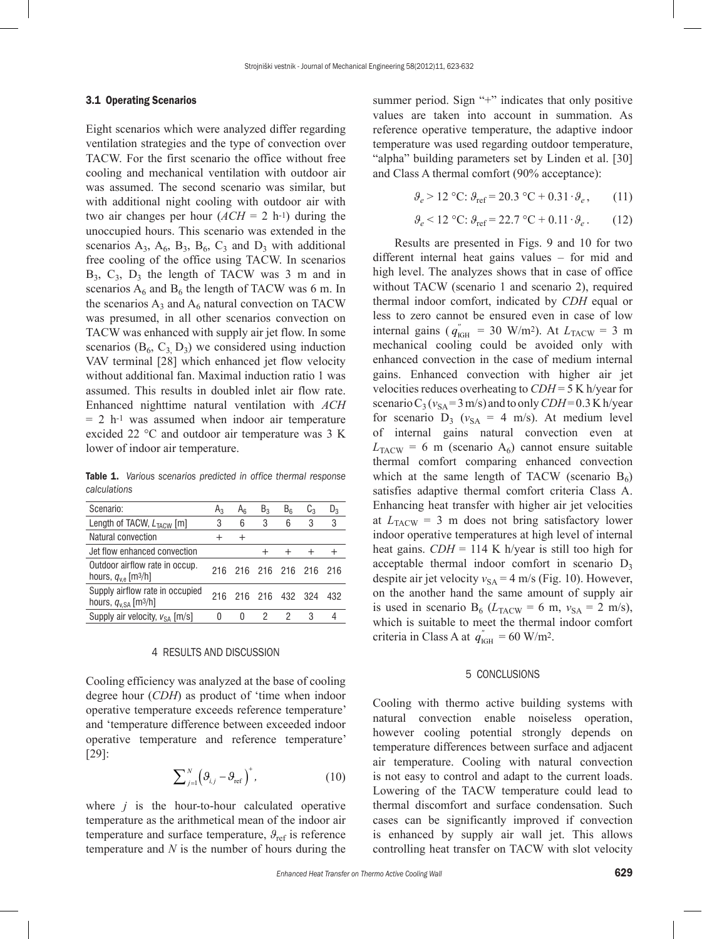## 3.1 Operating Scenarios

Eight scenarios which were analyzed differ regarding ventilation strategies and the type of convection over TACW. For the first scenario the office without free cooling and mechanical ventilation with outdoor air was assumed. The second scenario was similar, but with additional night cooling with outdoor air with two air changes per hour  $(ACH = 2 \text{ h}^{-1})$  during the unoccupied hours. This scenario was extended in the scenarios  $A_3$ ,  $A_6$ ,  $B_3$ ,  $B_6$ ,  $C_3$  and  $D_3$  with additional free cooling of the office using TACW. In scenarios  $B_3$ ,  $C_3$ ,  $D_3$  the length of TACW was 3 m and in scenarios  $A_6$  and  $B_6$  the length of TACW was 6 m. In the scenarios  $A_3$  and  $A_6$  natural convection on TACW was presumed, in all other scenarios convection on TACW was enhanced with supply air jet flow. In some scenarios ( $B_6$ ,  $C_3$ ,  $D_3$ ) we considered using induction VAV terminal [28] which enhanced jet flow velocity without additional fan. Maximal induction ratio 1 was assumed. This results in doubled inlet air flow rate. Enhanced nighttime natural ventilation with *ACH*  $= 2$  h<sup>-1</sup> was assumed when indoor air temperature excided 22 °C and outdoor air temperature was 3 K lower of indoor air temperature.

Table 1. *Various scenarios predicted in office thermal response calculations*

| Scenario:                                                                       | $A_3$ | Ar   | $B_3$ | B <sub>6</sub>      | $C_{3}$ | $D_3$ |
|---------------------------------------------------------------------------------|-------|------|-------|---------------------|---------|-------|
| Length of TACW, L <sub>TACW</sub> [m]                                           | 3     | 6    | 3     | 6                   | 3       | 3     |
| Natural convection                                                              |       | $^+$ |       |                     |         |       |
| Jet flow enhanced convection                                                    |       |      |       |                     |         |       |
| Outdoor airflow rate in occup.<br>hours, $q_{v,e}$ [m <sup>3</sup> /h]          |       |      |       | 216 216 216 216 216 |         | 216   |
| Supply airflow rate in occupied<br>hours, $q_{\text{v.SA}}$ [m <sup>3</sup> /h] | 216   |      |       | 216 216 432 324     |         | 432   |
| Supply air velocity, $v_{SA}$ [m/s]                                             | 0     | 0    |       |                     |         |       |
|                                                                                 |       |      |       |                     |         |       |

#### 4 RESULTS AND DISCUSSION

Cooling efficiency was analyzed at the base of cooling degree hour (*CDH*) as product of 'time when indoor operative temperature exceeds reference temperature' and 'temperature difference between exceeded indoor operative temperature and reference temperature' [29]:

$$
\sum_{j=1}^{N} \left( \mathfrak{G}_{i,j} - \mathfrak{G}_{\text{ref}} \right)^{+}, \qquad (10)
$$

where *j* is the hour-to-hour calculated operative temperature as the arithmetical mean of the indoor air temperature and surface temperature,  $\theta_{\text{ref}}$  is reference temperature and *N* is the number of hours during the summer period. Sign "+" indicates that only positive values are taken into account in summation. As reference operative temperature, the adaptive indoor temperature was used regarding outdoor temperature, "alpha" building parameters set by Linden et al. [30] and Class A thermal comfort (90% acceptance):

$$
\vartheta_e > 12 \, \text{°C}; \, \vartheta_{\text{ref}} = 20.3 \, \text{°C} + 0.31 \cdot \vartheta_e, \qquad (11)
$$

$$
\vartheta_e < 12 \, \, \mathrm{°C} \colon \vartheta_{\text{ref}} = 22.7 \, \, \mathrm{°C} + 0.11 \, \, \vartheta_e \,. \tag{12}
$$

Results are presented in Figs. 9 and 10 for two different internal heat gains values – for mid and high level. The analyzes shows that in case of office without TACW (scenario 1 and scenario 2), required thermal indoor comfort, indicated by *CDH* equal or less to zero cannot be ensured even in case of low internal gains ( $q_{\text{IGH}}^{\prime\prime} = 30 \text{ W/m}^2$ ). At  $L_{\text{TACW}} = 3 \text{ m}$ mechanical cooling could be avoided only with enhanced convection in the case of medium internal gains. Enhanced convection with higher air jet velocities reduces overheating to *CDH* = 5 K h/year for scenario  $C_3$  ( $v_{SA}$  = 3 m/s) and to only *CDH* = 0.3 K h/year for scenario  $D_3$  ( $v_{SA} = 4$  m/s). At medium level of internal gains natural convection even at  $L_{\text{TACW}}$  = 6 m (scenario A<sub>6</sub>) cannot ensure suitable thermal comfort comparing enhanced convection which at the same length of TACW (scenario  $B_6$ ) satisfies adaptive thermal comfort criteria Class A. Enhancing heat transfer with higher air jet velocities at  $L_{\text{TACW}} = 3$  m does not bring satisfactory lower indoor operative temperatures at high level of internal heat gains.  $CDH = 114$  K h/year is still too high for acceptable thermal indoor comfort in scenario  $D_3$ despite air jet velocity  $v_{SA} = 4$  m/s (Fig. 10). However, on the another hand the same amount of supply air is used in scenario  $B_6$  ( $L_{TACW}$  = 6 m,  $v_{SA}$  = 2 m/s), which is suitable to meet the thermal indoor comfort criteria in Class A at  $q_{\text{IGH}}^{\prime} = 60 \text{ W/m}^2$ .

## 5 CONCLUSIONS

Cooling with thermo active building systems with natural convection enable noiseless operation, however cooling potential strongly depends on temperature differences between surface and adjacent air temperature. Cooling with natural convection is not easy to control and adapt to the current loads. Lowering of the TACW temperature could lead to thermal discomfort and surface condensation. Such cases can be significantly improved if convection is enhanced by supply air wall jet. This allows controlling heat transfer on TACW with slot velocity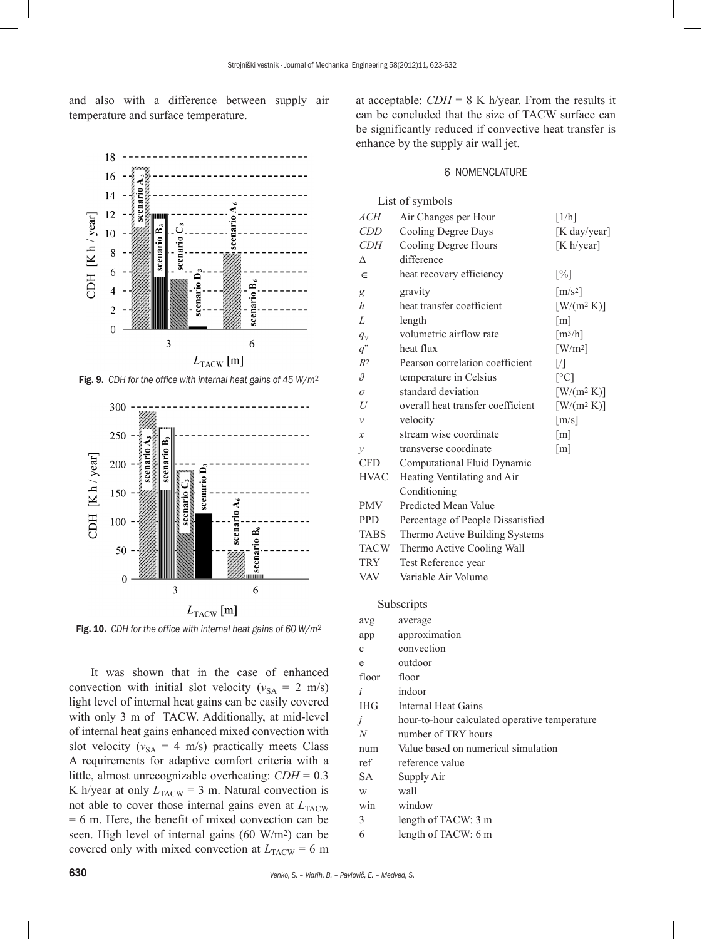and also with a difference between supply air temperature and surface temperature.



Fig. 9. *CDH for the office with internal heat gains of 45 W/m*<sup>2</sup>



Fig. 10. *CDH for the office with internal heat gains of 60 W/m*<sup>2</sup>

It was shown that in the case of enhanced convection with initial slot velocity ( $v_{SA} = 2$  m/s) light level of internal heat gains can be easily covered with only 3 m of TACW. Additionally, at mid-level of internal heat gains enhanced mixed convection with slot velocity ( $v_{SA}$  = 4 m/s) practically meets Class A requirements for adaptive comfort criteria with a little, almost unrecognizable overheating: *CDH* = 0.3 K h/year at only  $L_{\text{TACW}} = 3 \text{ m}$ . Natural convection is not able to cover those internal gains even at  $L_{\text{TACW}}$  $= 6$  m. Here, the benefit of mixed convection can be seen. High level of internal gains (60 W/m2) can be covered only with mixed convection at  $L_{\text{TACW}} = 6 \text{ m}$  at acceptable:  $CDH = 8$  K h/year. From the results it can be concluded that the size of TACW surface can be significantly reduced if convective heat transfer is enhance by the supply air wall jet.

### 6 NOMENCLATURE

## List of symbols

| <i>ACH</i>     | Air Changes per Hour                          | [1/h]                        |
|----------------|-----------------------------------------------|------------------------------|
| <b>CDD</b>     | Cooling Degree Days                           | [K day/year]                 |
| CDН            | Cooling Degree Hours                          | [K h/year]                   |
| Δ              | difference                                    |                              |
| ∈              | heat recovery efficiency                      | $\lceil\% \rceil$            |
| g              | gravity                                       | $\left[\frac{m}{s^2}\right]$ |
| h              | heat transfer coefficient                     | $[W/(m^2 K)]$                |
| L              | length                                        | $\lceil m \rceil$            |
| $q_{\rm v}$    | volumetric airflow rate                       | $\left[\frac{m^3}{h}\right]$ |
| $q^{\degree}$  | heat flux                                     | $\left[ W/m^2 \right]$       |
| R <sup>2</sup> | Pearson correlation coefficient               | $\sqrt{ }$                   |
| 9              | temperature in Celsius                        | $\lceil$ °C]                 |
| $\sigma$       | standard deviation                            | $[W/(m^2 K)]$                |
| U              | overall heat transfer coefficient             | $[W/(m^2 K)]$                |
| v              | velocity                                      | $\lceil m/s \rceil$          |
| x              | stream wise coordinate                        | [m]                          |
| $\mathcal{V}$  | transverse coordinate                         | [m]                          |
| <b>CFD</b>     | Computational Fluid Dynamic                   |                              |
| <b>HVAC</b>    | Heating Ventilating and Air                   |                              |
|                | Conditioning                                  |                              |
| PMV            | <b>Predicted Mean Value</b>                   |                              |
| <b>PPD</b>     | Percentage of People Dissatisfied             |                              |
| TABS           | Thermo Active Building Systems                |                              |
| TACW           | Thermo Active Cooling Wall                    |                              |
| TRY            | Test Reference year                           |                              |
| VAV            | Variable Air Volume                           |                              |
|                | Subscripts                                    |                              |
| avg            | average                                       |                              |
| app            | approximation                                 |                              |
| $\mathbf c$    | convection                                    |                              |
| e              | outdoor                                       |                              |
| floor          | floor                                         |                              |
| i              | indoor                                        |                              |
| <b>IHG</b>     | Internal Heat Gains                           |                              |
| Ĵ              | hour-to-hour calculated operative temperature |                              |
| N              | number of TRY hours                           |                              |
| num            | Value based on numerical simulation           |                              |
| ref            | reference value                               |                              |
| <b>SA</b>      | Supply Air                                    |                              |
| W              | wall                                          |                              |
| win            | window                                        |                              |
| 3              | length of TACW: 3 m                           |                              |
| 6              | length of TACW: 6 m                           |                              |
|                |                                               |                              |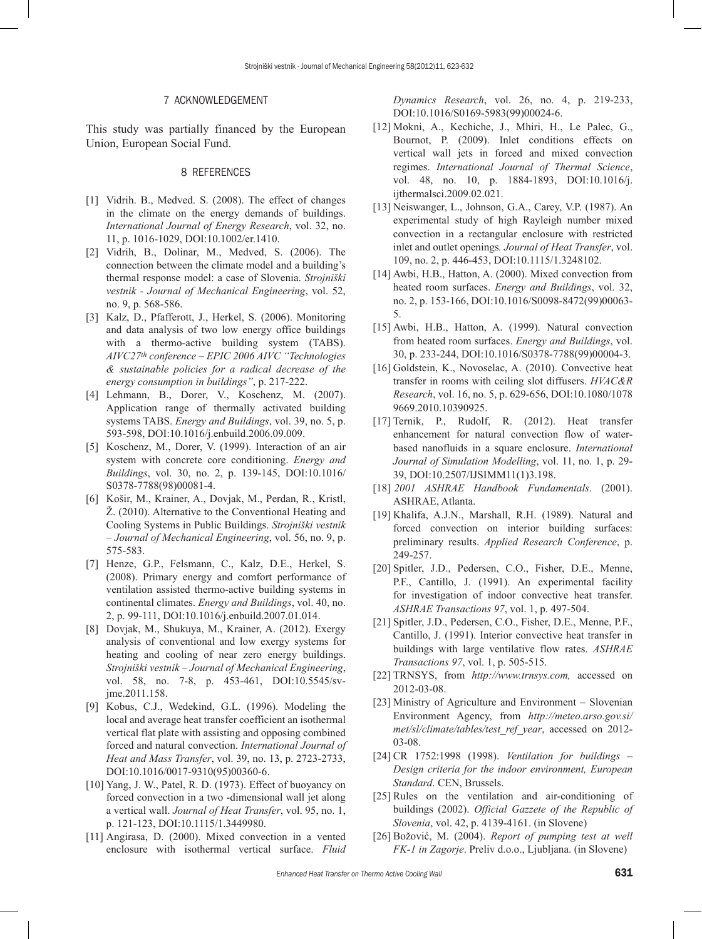#### 7 ACKNOWLEDGEMENT

This study was partially financed by the European Union, European Social Fund.

## 8 REFERENCES

- [1] Vidrih. B., Medved. S. (2008). The effect of changes in the climate on the energy demands of buildings. *International Journal of Energy Research*, vol. 32, no. 11, p. 1016-1029, [DOI:10.1002/er.1410](http://dx.doi.org/10.1002/er.1410).
- [2] Vidrih, B., Dolinar, M., Medved, S. (2006). The connection between the climate model and a building's thermal response model: a case of Slovenia. *Strojniški vestnik - Journal of Mechanical Engineering*, vol. 52, no. 9, p. 568-586.
- [3] Kalz, D., Pfafferott, J., Herkel, S. (2006). Monitoring and data analysis of two low energy office buildings with a thermo-active building system (TABS). *AIVC27th conference – EPIC 2006 AIVC "Technologies & sustainable policies for a radical decrease of the energy consumption in buildings"*, p. 217-222.
- [4] Lehmann, B., Dorer, V., Koschenz, M. (2007). Application range of thermally activated building systems TABS. *Energy and Buildings*, vol. 39, no. 5, p. 593-598, [DOI:10.1016/j.enbuild.2006.09.009](http://dx.doi.org/10.1016/j.enbuild.2006.09.009).
- [5] Koschenz, M., Dorer, V. (1999). Interaction of an air system with concrete core conditioning. *Energy and Buildings*, vol. 30, no. 2, p. 139-145, [DOI:10.1016/](http://dx.doi.org/10.1016/S0378-7788(98)00081-4) [S0378-7788\(98\)00081-4.](http://dx.doi.org/10.1016/S0378-7788(98)00081-4)
- [6] Košir, M., Krainer, A., Dovjak, M., Perdan, R., Kristl, Ž. (2010). Alternative to the Conventional Heating and Cooling Systems in Public Buildings. *Strojniški vestnik – Journal of Mechanical Engineering*, vol. 56, no. 9, p. 575-583.
- [7] Henze, G.P., Felsmann, C., Kalz, D.E., Herkel, S. (2008). Primary energy and comfort performance of ventilation assisted thermo-active building systems in continental climates. *Energy and Buildings*, vol. 40, no. 2, p. 99-111, DOI:10.1016/j.enbuild.2007.01.014.
- [8] Dovjak, M., Shukuya, M., Krainer, A. (2012). Exergy analysis of conventional and low exergy systems for heating and cooling of near zero energy buildings. *Strojniški vestnik – Journal of Mechanical Engineering*, vol. 58, no. 7-8, p. 453-461, [DOI:10.5545/sv](http://dx.doi.org/10.5545/sv-jme.2011.158)[jme.2011.158.](http://dx.doi.org/10.5545/sv-jme.2011.158)
- [9] Kobus, C.J., Wedekind, G.L. (1996). Modeling the local and average heat transfer coefficient an isothermal vertical flat plate with assisting and opposing combined forced and natural convection. *International Journal of Heat and Mass Transfer*, vol. 39, no. 13, p. 2723-2733, DOI:10.1016/0017-9310(95)00360-6.
- [10] Yang, J. W., Patel, R. D. (1973). Effect of buoyancy on forced convection in a two -dimensional wall jet along a vertical wall. *Journal of Heat Transfer*, vol. 95, no. 1, p. 121-123, [DOI:10.1115/1.3449980](http://dx.doi.org/10.1115/1.3449980).
- [11] Angirasa, D. (2000). Mixed convection in a vented enclosure with isothermal vertical surface. *Fluid*

*Dynamics Research*, vol. 26, no. 4, p. 219-233, [DOI:10.1016/S0169-5983\(99\)00024-6](http://dx.doi.org/10.1016/S0169-5983(99)00024-6).

- [12] Mokni, A., Kechiche, J., Mhiri, H., Le Palec, G., Bournot, P. (2009). Inlet conditions effects on vertical wall jets in forced and mixed convection regimes. *International Journal of Thermal Science*, vol. 48, no. 10, p. 1884-1893, [DOI:10.1016/j.](http://dx.doi.org/10.1016/j.ijthermalsci.2009.02.021) [ijthermalsci.2009.02.021.](http://dx.doi.org/10.1016/j.ijthermalsci.2009.02.021)
- [13] Neiswanger, L., Johnson, G.A., Carey, V.P. (1987). An experimental study of high Rayleigh number mixed convection in a rectangular enclosure with restricted inlet and outlet openings*. Journal of Heat Transfer*, vol. 109, no. 2, p. 446-453, [DOI:10.1115/1.3248102](http://dx.doi.org/10.1115/1.3248102).
- [14] Awbi, H.B., Hatton, A. (2000). Mixed convection from heated room surfaces. *Energy and Buildings*, vol. 32, no. 2, p. 153-166, [DOI:10.1016/S0098-8472\(99\)00063-](http://dx.doi.org/10.1016/S0098-8472(99)00063-5) [5.](http://dx.doi.org/10.1016/S0098-8472(99)00063-5)
- [15] Awbi, H.B., Hatton, A. (1999). Natural convection from heated room surfaces. *Energy and Buildings*, vol. 30, p. 233-244, [DOI:10.1016/S0378-7788\(99\)00004-3](http://dx.doi.org/10.1016/S0378-7788(99)00004-3).
- [16] Goldstein, K., Novoselac, A. (2010). Convective heat transfer in rooms with ceiling slot diffusers. *HVAC&R Research*, vol. 16, no. 5, p. 629-656, [DOI:10.1080/1078](http://dx.doi.org/10.1080/10789669.2010.10390925) [9669.2010.10390925.](http://dx.doi.org/10.1080/10789669.2010.10390925)
- [17] Ternik, P., Rudolf, R. (2012). Heat transfer enhancement for natural convection flow of waterbased nanofluids in a square enclosure. *International Journal of Simulation Modelling*, vol. 11, no. 1, p. 29- 39, [DOI:10.2507/IJSIMM11\(1\)3.198.](http://dx.doi.org/10.2507/IJSIMM11(1)3.198)
- [18] *2001 ASHRAE Handbook Fundamentals*. (2001). ASHRAE, Atlanta.
- [19] Khalifa, A.J.N., Marshall, R.H. (1989). Natural and forced convection on interior building surfaces: preliminary results. *Applied Research Conference*, p. 249-257.
- [20] Spitler, J.D., Pedersen, C.O., Fisher, D.E., Menne, P.F., Cantillo, J. (1991). An experimental facility for investigation of indoor convective heat transfer. *ASHRAE Transactions 97*, vol. 1, p. 497-504.
- [21] Spitler, J.D., Pedersen, C.O., Fisher, D.E., Menne, P.F., Cantillo, J. (1991). Interior convective heat transfer in buildings with large ventilative flow rates. *ASHRAE Transactions 97*, vol. 1, p. 505-515.
- [22] TRNSYS, from *http://www.trnsys.com,* accessed on 2012-03-08.
- [23] Ministry of Agriculture and Environment Slovenian Environment Agency, from *http://meteo.arso.gov.si/ met/sl/climate/tables/test\_ref\_year*, accessed on 2012- 03-08.
- [24] CR 1752:1998 (1998). *Ventilation for buildings – Design criteria for the indoor environment, European Standard*. CEN, Brussels.
- [25] Rules on the ventilation and air-conditioning of buildings (2002). *Official Gazzete of the Republic of Slovenia*, vol. 42, p. 4139-4161. (in Slovene)
- [26] Božović, M. (2004). *Report of pumping test at well FK-1 in Zagorje*. Preliv d.o.o., Ljubljana. (in Slovene)